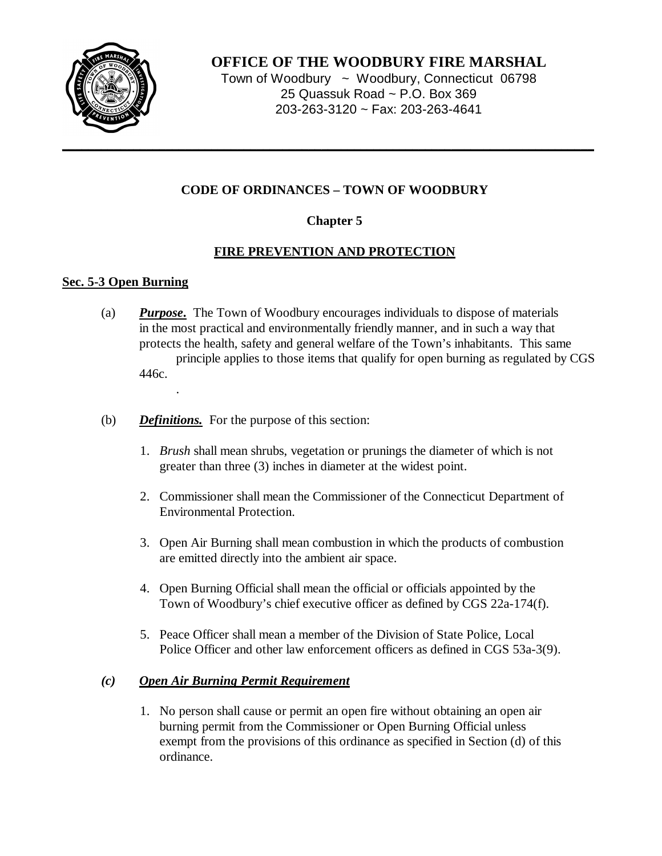

**OFFICE OF THE WOODBURY FIRE MARSHAL**

Town of Woodbury ~ Woodbury, Connecticut 06798 25 Quassuk Road ~ P.O. Box 369 203-263-3120 ~ Fax: 203-263-4641

# **CODE OF ORDINANCES – TOWN OF WOODBURY**

# **Chapter 5**

## **FIRE PREVENTION AND PROTECTION**

## **Sec. 5-3 Open Burning**

- (a) *Purpose***.** The Town of Woodbury encourages individuals to dispose of materials in the most practical and environmentally friendly manner, and in such a way that protects the health, safety and general welfare of the Town's inhabitants. This same principle applies to those items that qualify for open burning as regulated by CGS 446c. .
- (b) *Definitions.* For the purpose of this section:
	- 1. *Brush* shall mean shrubs, vegetation or prunings the diameter of which is not greater than three (3) inches in diameter at the widest point.
	- 2. Commissioner shall mean the Commissioner of the Connecticut Department of Environmental Protection.
	- 3. Open Air Burning shall mean combustion in which the products of combustion are emitted directly into the ambient air space.
	- 4. Open Burning Official shall mean the official or officials appointed by the Town of Woodbury's chief executive officer as defined by CGS 22a-174(f).
	- 5. Peace Officer shall mean a member of the Division of State Police, Local Police Officer and other law enforcement officers as defined in CGS 53a-3(9).

### *(c) Open Air Burning Permit Requirement*

1. No person shall cause or permit an open fire without obtaining an open air burning permit from the Commissioner or Open Burning Official unless exempt from the provisions of this ordinance as specified in Section (d) of this ordinance.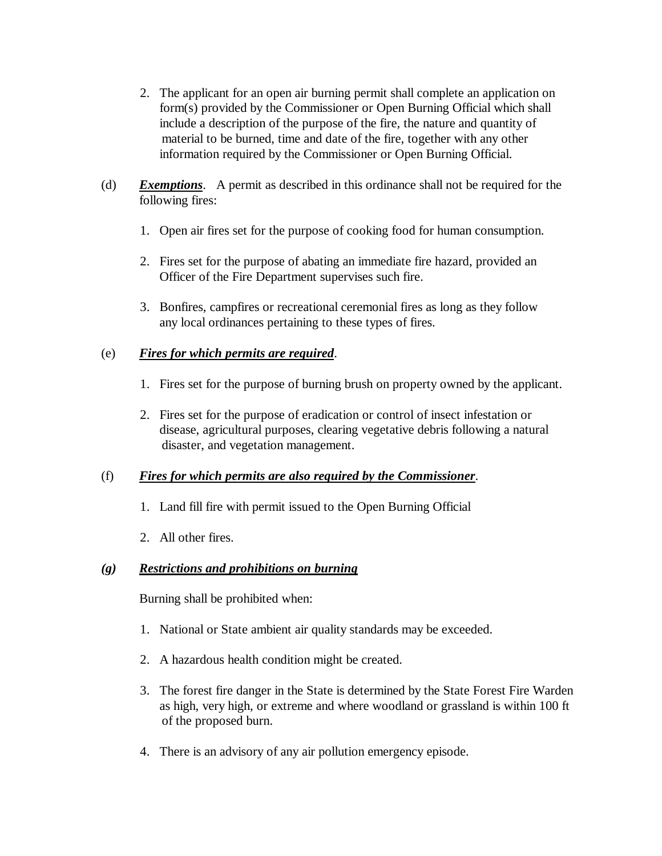- 2. The applicant for an open air burning permit shall complete an application on form(s) provided by the Commissioner or Open Burning Official which shall include a description of the purpose of the fire, the nature and quantity of material to be burned, time and date of the fire, together with any other information required by the Commissioner or Open Burning Official.
- (d) *Exemptions*. A permit as described in this ordinance shall not be required for the following fires:
	- 1. Open air fires set for the purpose of cooking food for human consumption.
	- 2. Fires set for the purpose of abating an immediate fire hazard, provided an Officer of the Fire Department supervises such fire.
	- 3. Bonfires, campfires or recreational ceremonial fires as long as they follow any local ordinances pertaining to these types of fires.

#### (e) *Fires for which permits are required*.

- 1. Fires set for the purpose of burning brush on property owned by the applicant.
- 2. Fires set for the purpose of eradication or control of insect infestation or disease, agricultural purposes, clearing vegetative debris following a natural disaster, and vegetation management.

#### (f) *Fires for which permits are also required by the Commissioner*.

- 1. Land fill fire with permit issued to the Open Burning Official
- 2. All other fires.

### *(g) Restrictions and prohibitions on burning*

Burning shall be prohibited when:

- 1. National or State ambient air quality standards may be exceeded.
- 2. A hazardous health condition might be created.
- 3. The forest fire danger in the State is determined by the State Forest Fire Warden as high, very high, or extreme and where woodland or grassland is within 100 ft of the proposed burn.
- 4. There is an advisory of any air pollution emergency episode.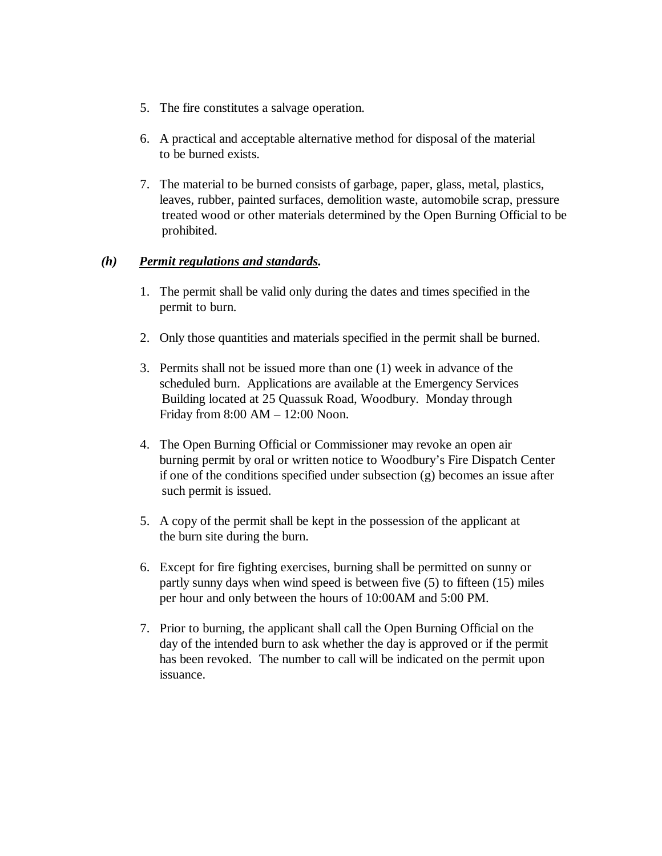- 5. The fire constitutes a salvage operation.
- 6. A practical and acceptable alternative method for disposal of the material to be burned exists.
- 7. The material to be burned consists of garbage, paper, glass, metal, plastics, leaves, rubber, painted surfaces, demolition waste, automobile scrap, pressure treated wood or other materials determined by the Open Burning Official to be prohibited.

#### *(h) Permit regulations and standards.*

- 1. The permit shall be valid only during the dates and times specified in the permit to burn.
- 2. Only those quantities and materials specified in the permit shall be burned.
- 3. Permits shall not be issued more than one (1) week in advance of the scheduled burn. Applications are available at the Emergency Services Building located at 25 Quassuk Road, Woodbury. Monday through Friday from 8:00 AM – 12:00 Noon.
- 4. The Open Burning Official or Commissioner may revoke an open air burning permit by oral or written notice to Woodbury's Fire Dispatch Center if one of the conditions specified under subsection (g) becomes an issue after such permit is issued.
- 5. A copy of the permit shall be kept in the possession of the applicant at the burn site during the burn.
- 6. Except for fire fighting exercises, burning shall be permitted on sunny or partly sunny days when wind speed is between five (5) to fifteen (15) miles per hour and only between the hours of 10:00AM and 5:00 PM.
- 7. Prior to burning, the applicant shall call the Open Burning Official on the day of the intended burn to ask whether the day is approved or if the permit has been revoked. The number to call will be indicated on the permit upon issuance.